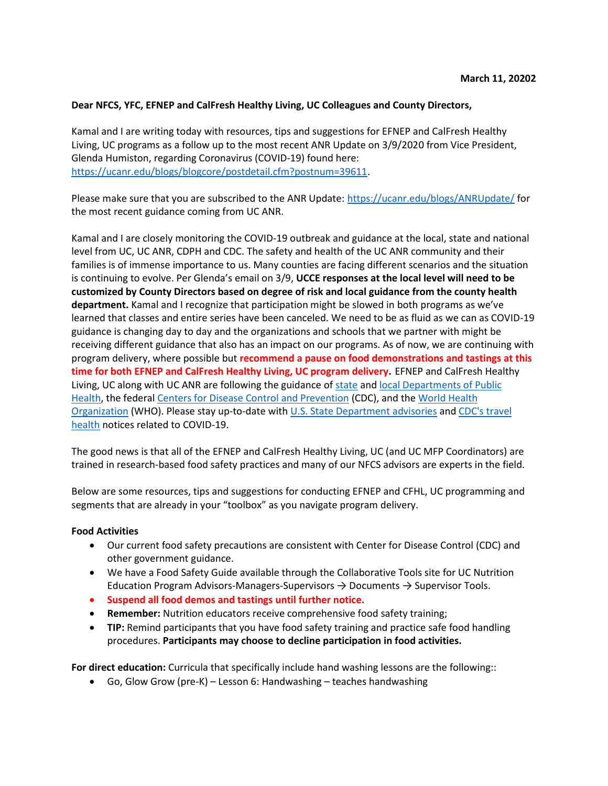#### **Dear NFCS, YFC, EFNEP and CalFresh Healthy Living, UC Colleagues and County Directors,**

Kamal and I are writing today with resources, tips and suggestions for EFNEP and CalFresh Healthy Living, UC programs as a follow up to the most recent ANR Update on 3/9/2020 from Vice President, Glenda Humiston, regarding Coronavirus (COVID-19) found here: [https://ucanr.edu/blogs/blogcore/postdetail.cfm?postnum=39611.](https://ucanr.edu/blogs/blogcore/postdetail.cfm?postnum=39611)

Please make sure that you are subscribed to the ANR Update[: https://ucanr.edu/blogs/ANRUpdate/](https://ucanr.edu/blogs/ANRUpdate/) for the most recent guidance coming from UC ANR.

Kamal and I are closely monitoring the COVID-19 outbreak and guidance at the local, state and national level from UC, UC ANR, CDPH and CDC. The safety and health of the UC ANR community and their families is of immense importance to us. Many counties are facing different scenarios and the situation is continuing to evolve. Per Glenda's email on 3/9, **UCCE responses at the local level will need to be customized by County Directors based on degree of risk and local guidance from the county health department.** Kamal and I recognize that participation might be slowed in both programs as we've learned that classes and entire series have been canceled. We need to be as fluid as we can as COVID-19 guidance is changing day to day and the organizations and schools that we partner with might be receiving different guidance that also has an impact on our programs. As of now, we are continuing with program delivery, where possible but **recommend a pause on food demonstrations and tastings at this time for both EFNEP and CalFresh Healthy Living, UC program delivery.** EFNEP and CalFresh Healthy Living, UC along with UC ANR are following the guidance of [state](https://www.cdph.ca.gov/Programs/CID/DCDC/Pages/Immunization/nCOV2019.aspx) and local Departments of Public [Health,](https://www.cdph.ca.gov/Pages/LocalHealthServicesAndOffices.aspx) the federal [Centers for Disease Control and Prevention](https://www.cdc.gov/coronavirus/2019-ncov/index.html) (CDC), and the World [Health](https://www.who.int/emergencies/diseases/novel-coronavirus-2019)  [Organization](https://www.who.int/emergencies/diseases/novel-coronavirus-2019) (WHO). Please stay up-to-date with [U.S. State Department](https://travel.state.gov/content/travel/en/traveladvisories/traveladvisories.html/) [advisories](https://travel.state.gov/content/travel/en/traveladvisories/traveladvisories.html/) and [CDC's travel](https://www.cdc.gov/coronavirus/2019-ncov/travelers/index.html)  [health](https://www.cdc.gov/coronavirus/2019-ncov/travelers/index.html) notices related to COVID-19.

The good news is that all of the EFNEP and CalFresh Healthy Living, UC (and UC MFP Coordinators) are trained in research-based food safety practices and many of our NFCS advisors are experts in the field.

Below are some resources, tips and suggestions for conducting EFNEP and CFHL, UC programming and segments that are already in your "toolbox" as you navigate program delivery.

#### **Food Activities**

- Our current food safety precautions are consistent with Center for Disease Control (CDC) and other government guidance.
- We have a Food Safety Guide available through the Collaborative Tools site for UC Nutrition Education Program Advisors-Managers-Supervisors  $\rightarrow$  Documents  $\rightarrow$  Supervisor Tools.
- **Suspend all food demos and tastings until further notice.**
- **Remember:** Nutrition educators receive comprehensive food safety training;
- **TIP:** Remind participants that you have food safety training and practice safe food handling procedures. **Participants may choose to decline participation in food activities.**

**For direct education:** Curricula that specifically include hand washing lessons are the following::

Go, Glow Grow (pre-K) – Lesson 6: Handwashing – teaches handwashing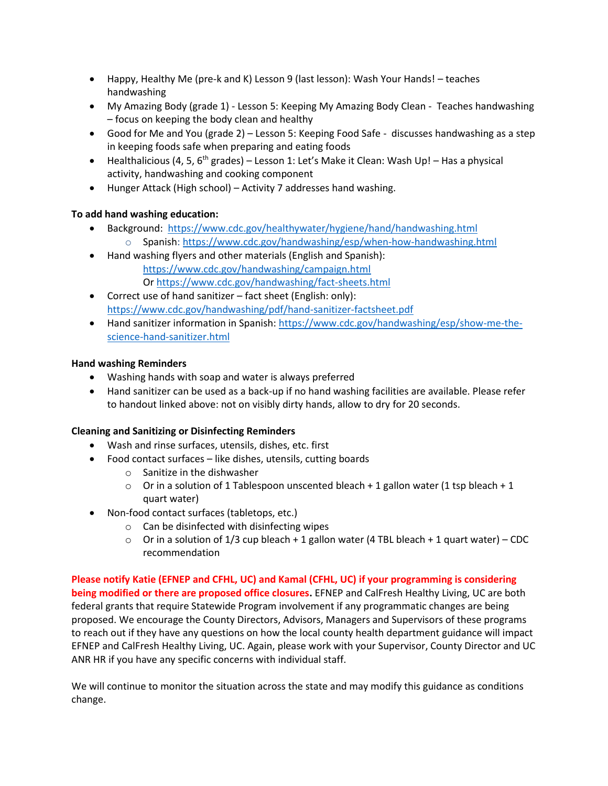- Happy, Healthy Me (pre-k and K) Lesson 9 (last lesson): Wash Your Hands! teaches handwashing
- My Amazing Body (grade 1) Lesson 5: Keeping My Amazing Body Clean Teaches handwashing – focus on keeping the body clean and healthy
- Good for Me and You (grade 2) Lesson 5: Keeping Food Safe discusses handwashing as a step in keeping foods safe when preparing and eating foods
- **•** Healthalicious (4, 5, 6<sup>th</sup> grades) Lesson 1: Let's Make it Clean: Wash Up! Has a physical activity, handwashing and cooking component
- Hunger Attack (High school) Activity 7 addresses hand washing.

## **To add hand washing education:**

- Background: <https://www.cdc.gov/healthywater/hygiene/hand/handwashing.html> o Spanish:<https://www.cdc.gov/handwashing/esp/when-how-handwashing.html>
- Hand washing flyers and other materials (English and Spanish): <https://www.cdc.gov/handwashing/campaign.html> O[r https://www.cdc.gov/handwashing/fact-sheets.html](https://www.cdc.gov/handwashing/fact-sheets.html)
- Correct use of hand sanitizer fact sheet (English: only): <https://www.cdc.gov/handwashing/pdf/hand-sanitizer-factsheet.pdf>
- Hand sanitizer information in Spanish[: https://www.cdc.gov/handwashing/esp/show-me-the](https://www.cdc.gov/handwashing/esp/show-me-the-science-hand-sanitizer.html)[science-hand-sanitizer.html](https://www.cdc.gov/handwashing/esp/show-me-the-science-hand-sanitizer.html)

## **Hand washing Reminders**

- Washing hands with soap and water is always preferred
- Hand sanitizer can be used as a back-up if no hand washing facilities are available. Please refer to handout linked above: not on visibly dirty hands, allow to dry for 20 seconds.

## **Cleaning and Sanitizing or Disinfecting Reminders**

- Wash and rinse surfaces, utensils, dishes, etc. first
- Food contact surfaces like dishes, utensils, cutting boards
	- o Sanitize in the dishwasher
	- $\circ$  Or in a solution of 1 Tablespoon unscented bleach + 1 gallon water (1 tsp bleach + 1 quart water)
- Non-food contact surfaces (tabletops, etc.)
	- $\circ$  Can be disinfected with disinfecting wipes
	- $\circ$  Or in a solution of 1/3 cup bleach + 1 gallon water (4 TBL bleach + 1 quart water) CDC recommendation

**Please notify Katie (EFNEP and CFHL, UC) and Kamal (CFHL, UC) if your programming is considering being modified or there are proposed office closures.** EFNEP and CalFresh Healthy Living, UC are both federal grants that require Statewide Program involvement if any programmatic changes are being proposed. We encourage the County Directors, Advisors, Managers and Supervisors of these programs to reach out if they have any questions on how the local county health department guidance will impact EFNEP and CalFresh Healthy Living, UC. Again, please work with your Supervisor, County Director and UC ANR HR if you have any specific concerns with individual staff.

We will continue to monitor the situation across the state and may modify this guidance as conditions change.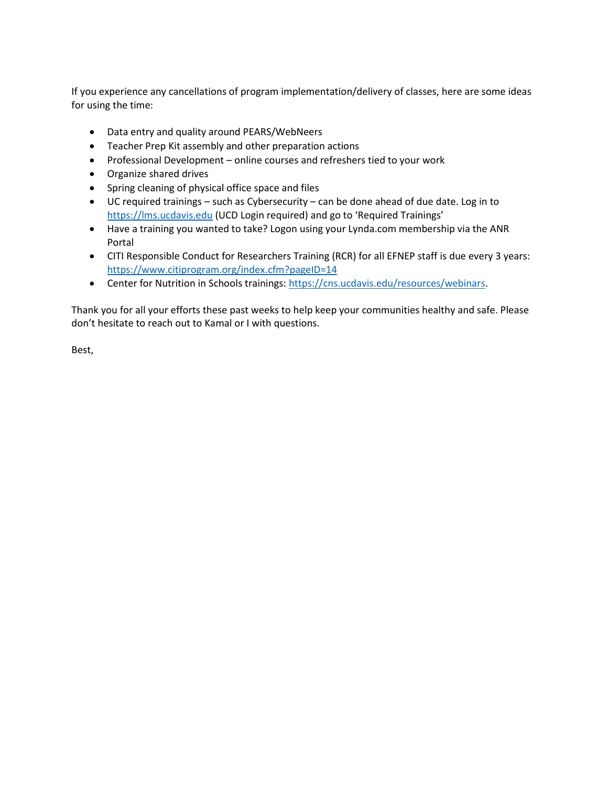If you experience any cancellations of program implementation/delivery of classes, here are some ideas for using the time:

- Data entry and quality around PEARS/WebNeers
- Teacher Prep Kit assembly and other preparation actions
- Professional Development online courses and refreshers tied to your work
- Organize shared drives
- Spring cleaning of physical office space and files
- UC required trainings such as Cybersecurity can be done ahead of due date. Log in to [https://lms.ucdavis.edu](https://lms.ucdavis.edu/) (UCD Login required) and go to 'Required Trainings'
- Have a training you wanted to take? Logon using your Lynda.com membership via the ANR Portal
- CITI Responsible Conduct for Researchers Training (RCR) for all EFNEP staff is due every 3 years: <https://www.citiprogram.org/index.cfm?pageID=14>
- Center for Nutrition in Schools trainings: [https://cns.ucdavis.edu/resources/webinars.](https://cns.ucdavis.edu/resources/webinars)

Thank you for all your efforts these past weeks to help keep your communities healthy and safe. Please don't hesitate to reach out to Kamal or I with questions.

Best,